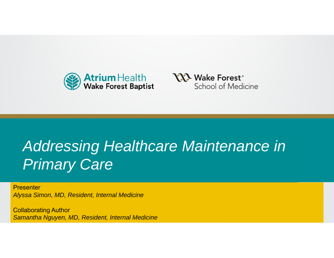



#### **Healthcare Mainter Primary Care** of Supporting Thought *Addressing Healthcare Maintenance in*

**Presenter** *Alyssa Simon, MD, Resident, Internal Medicine* 

Polloborating Author Collaborating Author *Samantha Nguyen, MD, Resident, Internal Medicine*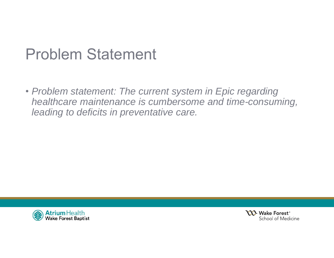#### Problem Statement

• *Problem statement: The current system in Epic regarding healthcare maintenance is cumbersome and time-consuming, leading to deficits in preventative care.* 



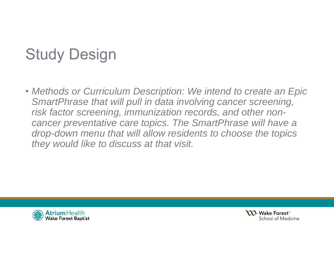# Study Design

• *Methods or Curriculum Description: We intend to create an Epic SmartPhrase that will pull in data involving cancer screening, risk factor screening, immunization records, and other noncancer preventative care topics. The SmartPhrase will have a drop-down menu that will allow residents to choose the topics they would like to discuss at that visit.* 



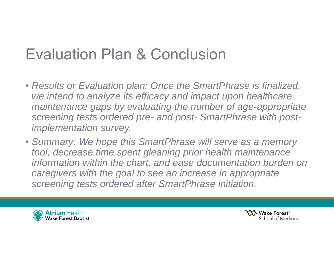## Evaluation Plan & Conclusion

- *Results or Evaluation plan: Once the SmartPhrase is finalized, we intend to analyze its efficacy and impact upon healthcare maintenance gaps by evaluating the number of age-appropriate screening tests ordered pre- and post- SmartPhrase with postimplementation survey.*
- *Summary: We hope this SmartPhrase will serve as a memory tool, decrease time spent gleaning prior health maintenance information within the chart, and ease documentation burden on caregivers with the goal to see an increase in appropriate screening tests ordered after SmartPhrase initiation.*



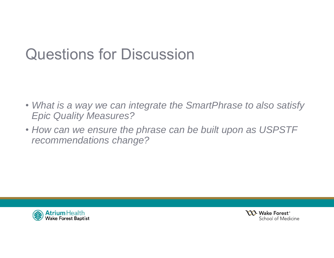## Questions for Discussion

- *What is a way we can integrate the SmartPhrase to also satisfy Epic Quality Measures?*
- *How can we ensure the phrase can be built upon as USPSTF recommendations change?*